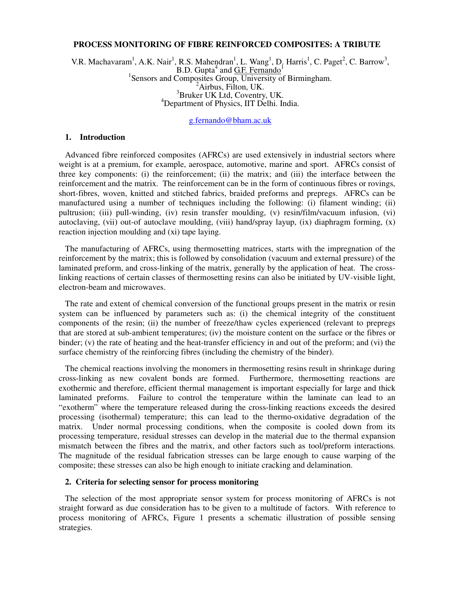## **PROCESS MONITORING OF FIBRE REINFORCED COMPOSITES: A TRIBUTE**

V.R. Machavaram<sup>1</sup>, A.K. Nair<sup>1</sup>, R.S. Mahendran<sup>1</sup>, L. Wang<sup>1</sup>, D. Harris<sup>1</sup>, C. Paget<sup>2</sup>, C. Barrow<sup>3</sup>, B.D. Gupta<sup>4</sup> and <u>G.F. Fernando<sup>1</sup></u><br><sup>1</sup> Sensors and Composites Group, University of Birmingham. <sup>2</sup>Airbus, Filton, UK. <sup>3</sup>Bruker UK Ltd, Coventry, UK. <sup>4</sup>Department of Physics, IIT Delhi. India.

# g.fernando@bham.ac.uk

#### **1. Introduction**

Advanced fibre reinforced composites (AFRCs) are used extensively in industrial sectors where weight is at a premium, for example, aerospace, automotive, marine and sport. AFRCs consist of three key components: (i) the reinforcement; (ii) the matrix; and (iii) the interface between the reinforcement and the matrix. The reinforcement can be in the form of continuous fibres or rovings, short-fibres, woven, knitted and stitched fabrics, braided preforms and prepregs. AFRCs can be manufactured using a number of techniques including the following: (i) filament winding; (ii) pultrusion; (iii) pull-winding, (iv) resin transfer moulding, (v) resin/film/vacuum infusion, (vi) autoclaving, (vii) out-of autoclave moulding, (viii) hand/spray layup, (ix) diaphragm forming, (x) reaction injection moulding and (xi) tape laying.

The manufacturing of AFRCs, using thermosetting matrices, starts with the impregnation of the reinforcement by the matrix; this is followed by consolidation (vacuum and external pressure) of the laminated preform, and cross-linking of the matrix, generally by the application of heat. The crosslinking reactions of certain classes of thermosetting resins can also be initiated by UV-visible light, electron-beam and microwaves.

The rate and extent of chemical conversion of the functional groups present in the matrix or resin system can be influenced by parameters such as: (i) the chemical integrity of the constituent components of the resin; (ii) the number of freeze/thaw cycles experienced (relevant to prepregs that are stored at sub-ambient temperatures; (iv) the moisture content on the surface or the fibres or binder; (v) the rate of heating and the heat-transfer efficiency in and out of the preform; and (vi) the surface chemistry of the reinforcing fibres (including the chemistry of the binder).

The chemical reactions involving the monomers in thermosetting resins result in shrinkage during cross-linking as new covalent bonds are formed. Furthermore, thermosetting reactions are exothermic and therefore, efficient thermal management is important especially for large and thick laminated preforms. Failure to control the temperature within the laminate can lead to an "exotherm" where the temperature released during the cross-linking reactions exceeds the desired processing (isothermal) temperature; this can lead to the thermo-oxidative degradation of the matrix. Under normal processing conditions, when the composite is cooled down from its processing temperature, residual stresses can develop in the material due to the thermal expansion mismatch between the fibres and the matrix, and other factors such as tool/preform interactions. The magnitude of the residual fabrication stresses can be large enough to cause warping of the composite; these stresses can also be high enough to initiate cracking and delamination.

### **2. Criteria for selecting sensor for process monitoring**

The selection of the most appropriate sensor system for process monitoring of AFRCs is not straight forward as due consideration has to be given to a multitude of factors. With reference to process monitoring of AFRCs, Figure 1 presents a schematic illustration of possible sensing strategies.